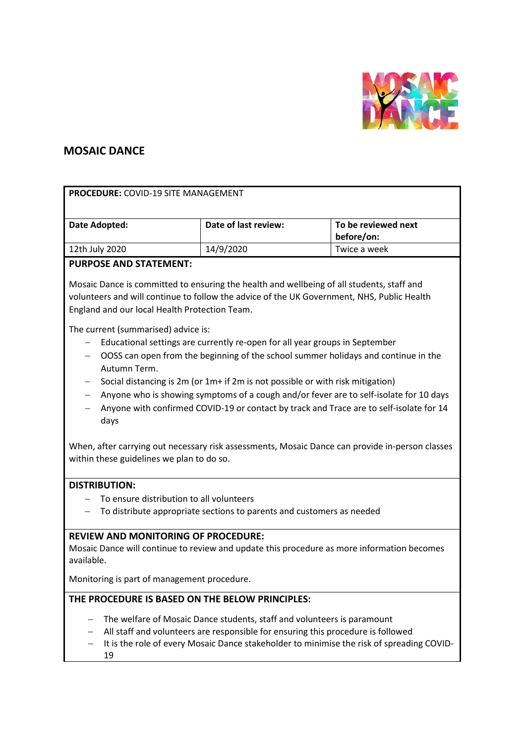

# **MOSAIC DANCE**

| <b>PROCEDURE: COVID-19 SITE MANAGEMENT</b>                                                                                                                                                                                                                                                                                                                                                                                                                                                                   |                      |                                   |
|--------------------------------------------------------------------------------------------------------------------------------------------------------------------------------------------------------------------------------------------------------------------------------------------------------------------------------------------------------------------------------------------------------------------------------------------------------------------------------------------------------------|----------------------|-----------------------------------|
| Date Adopted:                                                                                                                                                                                                                                                                                                                                                                                                                                                                                                | Date of last review: | To be reviewed next<br>before/on: |
| 12th July 2020                                                                                                                                                                                                                                                                                                                                                                                                                                                                                               | 14/9/2020            | Twice a week                      |
| <b>PURPOSE AND STATEMENT:</b>                                                                                                                                                                                                                                                                                                                                                                                                                                                                                |                      |                                   |
| Mosaic Dance is committed to ensuring the health and wellbeing of all students, staff and<br>volunteers and will continue to follow the advice of the UK Government, NHS, Public Health<br>England and our local Health Protection Team.                                                                                                                                                                                                                                                                     |                      |                                   |
| The current (summarised) advice is:<br>Educational settings are currently re-open for all year groups in September<br>OOSS can open from the beginning of the school summer holidays and continue in the<br>Autumn Term.<br>Social distancing is 2m (or 1m+ if 2m is not possible or with risk mitigation)<br>Anyone who is showing symptoms of a cough and/or fever are to self-isolate for 10 days<br>Anyone with confirmed COVID-19 or contact by track and Trace are to self-isolate for 14<br>—<br>days |                      |                                   |
| When, after carrying out necessary risk assessments, Mosaic Dance can provide in-person classes<br>within these guidelines we plan to do so.                                                                                                                                                                                                                                                                                                                                                                 |                      |                                   |
| <b>DISTRIBUTION:</b>                                                                                                                                                                                                                                                                                                                                                                                                                                                                                         |                      |                                   |
| To ensure distribution to all volunteers                                                                                                                                                                                                                                                                                                                                                                                                                                                                     |                      |                                   |
| To distribute appropriate sections to parents and customers as needed                                                                                                                                                                                                                                                                                                                                                                                                                                        |                      |                                   |
| <b>REVIEW AND MONITORING OF PROCEDURE:</b><br>Mosaic Dance will continue to review and update this procedure as more information becomes<br>available.<br>Monitoring is part of management procedure                                                                                                                                                                                                                                                                                                         |                      |                                   |
| THE PROCEDURE IS BASED ON THE BELOW PRINCIPLES:                                                                                                                                                                                                                                                                                                                                                                                                                                                              |                      |                                   |
| The welfare of Mosaic Dance students, staff and volunteers is paramount<br>All staff and volunteers are responsible for ensuring this procedure is followed<br>It is the role of every Mosaic Dance stakeholder to minimise the risk of spreading COVID-<br>19                                                                                                                                                                                                                                               |                      |                                   |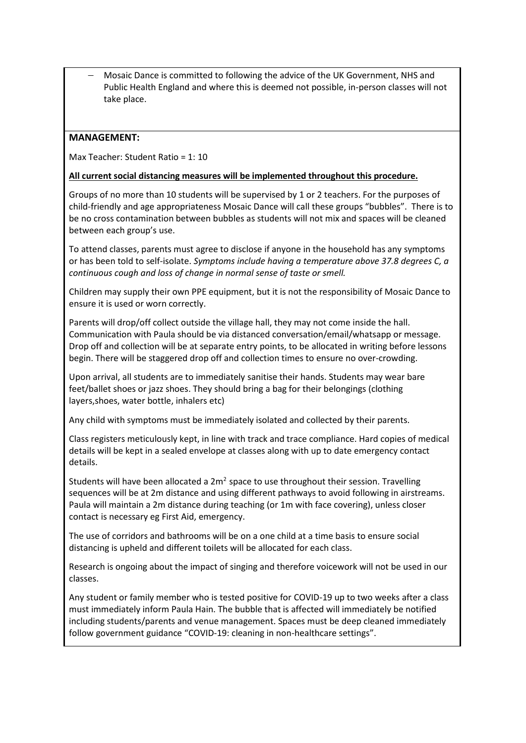− Mosaic Dance is committed to following the advice of the UK Government, NHS and Public Health England and where this is deemed not possible, in-person classes will not take place.

#### **MANAGEMENT:**

Max Teacher: Student Ratio = 1: 10

#### **All current social distancing measures will be implemented throughout this procedure.**

Groups of no more than 10 students will be supervised by 1 or 2 teachers. For the purposes of child-friendly and age appropriateness Mosaic Dance will call these groups "bubbles". There is to be no cross contamination between bubbles as students will not mix and spaces will be cleaned between each group's use.

To attend classes, parents must agree to disclose if anyone in the household has any symptoms or has been told to self-isolate. *Symptoms include having a temperature above 37.8 degrees C, a continuous cough and loss of change in normal sense of taste or smell.*

Children may supply their own PPE equipment, but it is not the responsibility of Mosaic Dance to ensure it is used or worn correctly.

Parents will drop/off collect outside the village hall, they may not come inside the hall. Communication with Paula should be via distanced conversation/email/whatsapp or message. Drop off and collection will be at separate entry points, to be allocated in writing before lessons begin. There will be staggered drop off and collection times to ensure no over-crowding.

Upon arrival, all students are to immediately sanitise their hands. Students may wear bare feet/ballet shoes or jazz shoes. They should bring a bag for their belongings (clothing layers,shoes, water bottle, inhalers etc)

Any child with symptoms must be immediately isolated and collected by their parents.

Class registers meticulously kept, in line with track and trace compliance. Hard copies of medical details will be kept in a sealed envelope at classes along with up to date emergency contact details.

Students will have been allocated a  $2m^2$  space to use throughout their session. Travelling sequences will be at 2m distance and using different pathways to avoid following in airstreams. Paula will maintain a 2m distance during teaching (or 1m with face covering), unless closer contact is necessary eg First Aid, emergency.

The use of corridors and bathrooms will be on a one child at a time basis to ensure social distancing is upheld and different toilets will be allocated for each class.

Research is ongoing about the impact of singing and therefore voicework will not be used in our classes.

Any student or family member who is tested positive for COVID-19 up to two weeks after a class must immediately inform Paula Hain. The bubble that is affected will immediately be notified including students/parents and venue management. Spaces must be deep cleaned immediately follow government guidance "COVID-19: cleaning in non-healthcare settings".